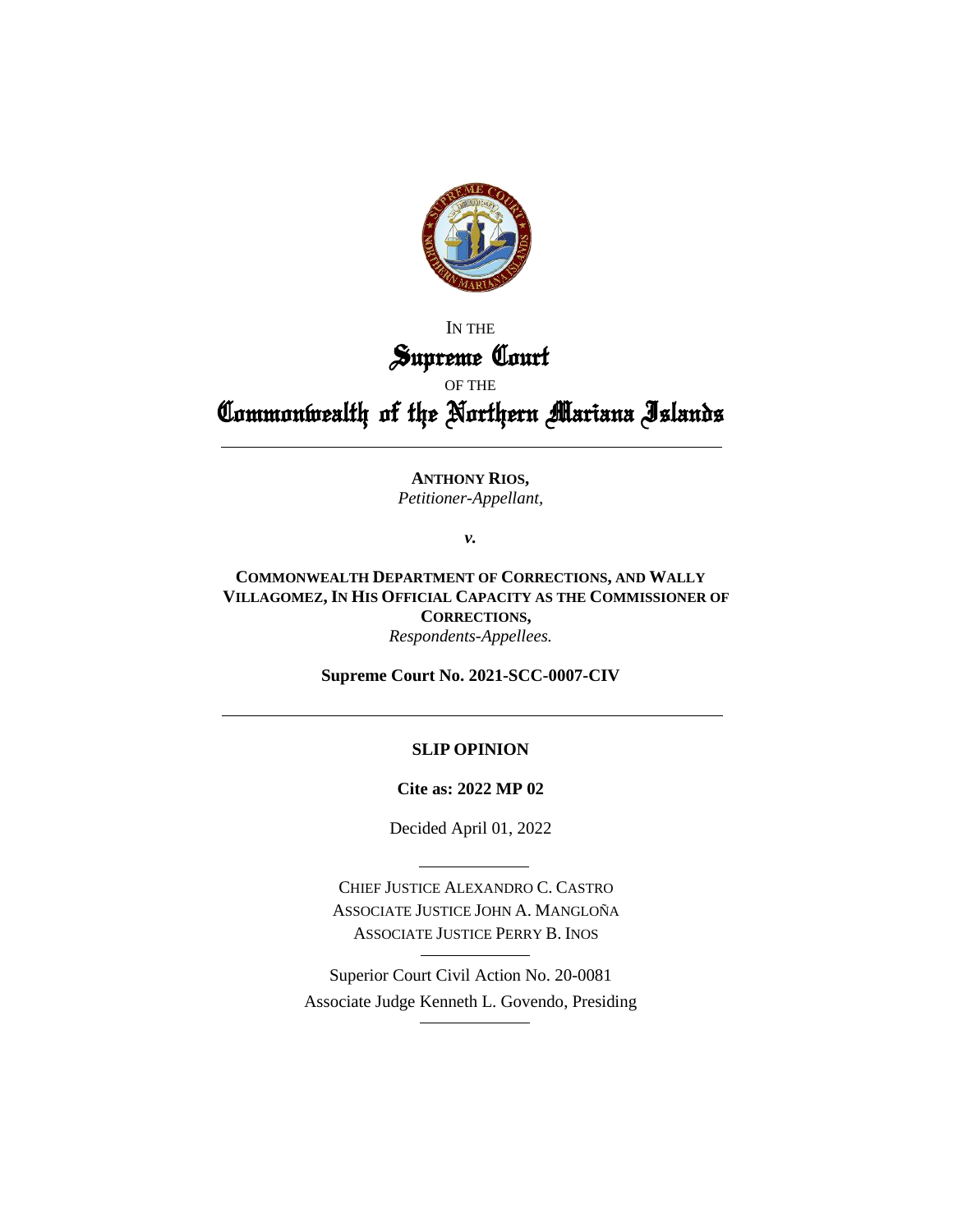

## IN THE Supreme Court

### OF THE

# Commonwealth of the Northern Mariana Islands

#### **ANTHONY RIOS,** *Petitioner-Appellant,*

*v.*

**COMMONWEALTH DEPARTMENT OF CORRECTIONS, AND WALLY VILLAGOMEZ, IN HIS OFFICIAL CAPACITY AS THE COMMISSIONER OF CORRECTIONS,** *Respondents-Appellees.*

**Supreme Court No. 2021-SCC-0007-CIV**

#### **SLIP OPINION**

**Cite as: 2022 MP 02**

Decided April 01, 2022

CHIEF JUSTICE ALEXANDRO C. CASTRO ASSOCIATE JUSTICE JOHN A. MANGLOÑA ASSOCIATE JUSTICE PERRY B. INOS

Superior Court Civil Action No. 20-0081 Associate Judge Kenneth L. Govendo, Presiding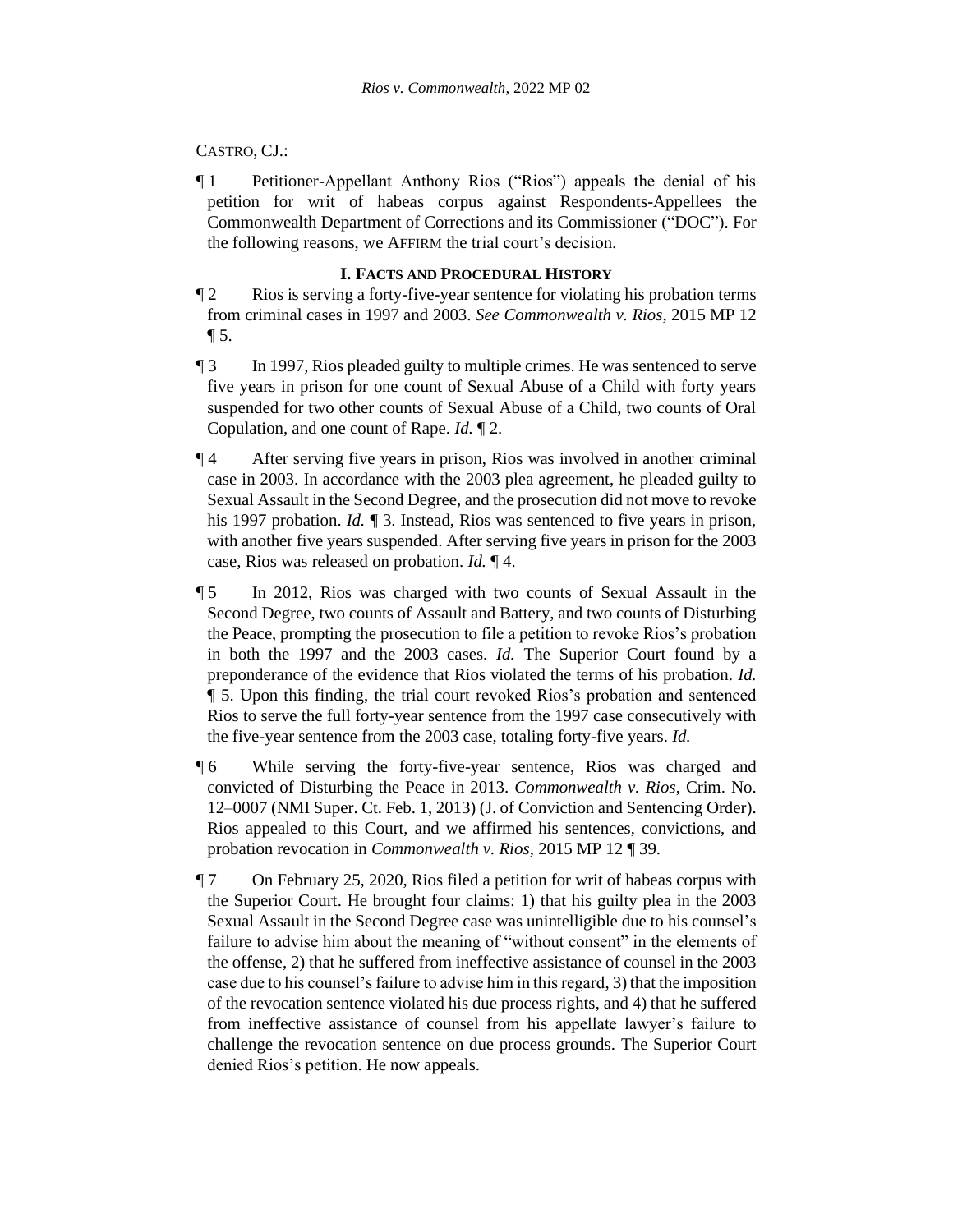#### CASTRO, CJ.:

¶ 1 Petitioner-Appellant Anthony Rios ("Rios") appeals the denial of his petition for writ of habeas corpus against Respondents-Appellees the Commonwealth Department of Corrections and its Commissioner ("DOC"). For the following reasons, we AFFIRM the trial court's decision.

#### **I. FACTS AND PROCEDURAL HISTORY**

- ¶ 2 Rios is serving a forty-five-year sentence for violating his probation terms from criminal cases in 1997 and 2003. *See Commonwealth v. Rios*, 2015 MP 12  $\P 5.$
- ¶ 3 In 1997, Rios pleaded guilty to multiple crimes. He was sentenced to serve five years in prison for one count of Sexual Abuse of a Child with forty years suspended for two other counts of Sexual Abuse of a Child, two counts of Oral Copulation, and one count of Rape. *Id.* ¶ 2.
- ¶ 4 After serving five years in prison, Rios was involved in another criminal case in 2003. In accordance with the 2003 plea agreement, he pleaded guilty to Sexual Assault in the Second Degree, and the prosecution did not move to revoke his 1997 probation. *Id.* ¶ 3. Instead, Rios was sentenced to five years in prison, with another five years suspended. After serving five years in prison for the 2003 case, Rios was released on probation. *Id.* ¶ 4.
- ¶ 5 In 2012, Rios was charged with two counts of Sexual Assault in the Second Degree, two counts of Assault and Battery, and two counts of Disturbing the Peace, prompting the prosecution to file a petition to revoke Rios's probation in both the 1997 and the 2003 cases. *Id.* The Superior Court found by a preponderance of the evidence that Rios violated the terms of his probation. *Id.* ¶ 5. Upon this finding, the trial court revoked Rios's probation and sentenced Rios to serve the full forty-year sentence from the 1997 case consecutively with the five-year sentence from the 2003 case, totaling forty-five years. *Id.*
- ¶ 6 While serving the forty-five-year sentence, Rios was charged and convicted of Disturbing the Peace in 2013. *Commonwealth v. Rios*, Crim. No. 12–0007 (NMI Super. Ct. Feb. 1, 2013) (J. of Conviction and Sentencing Order). Rios appealed to this Court, and we affirmed his sentences, convictions, and probation revocation in *Commonwealth v. Rios*, 2015 MP 12 ¶ 39.
- ¶ 7 On February 25, 2020, Rios filed a petition for writ of habeas corpus with the Superior Court. He brought four claims: 1) that his guilty plea in the 2003 Sexual Assault in the Second Degree case was unintelligible due to his counsel's failure to advise him about the meaning of "without consent" in the elements of the offense, 2) that he suffered from ineffective assistance of counsel in the 2003 case due to his counsel's failure to advise him in this regard, 3) that the imposition of the revocation sentence violated his due process rights, and 4) that he suffered from ineffective assistance of counsel from his appellate lawyer's failure to challenge the revocation sentence on due process grounds. The Superior Court denied Rios's petition. He now appeals.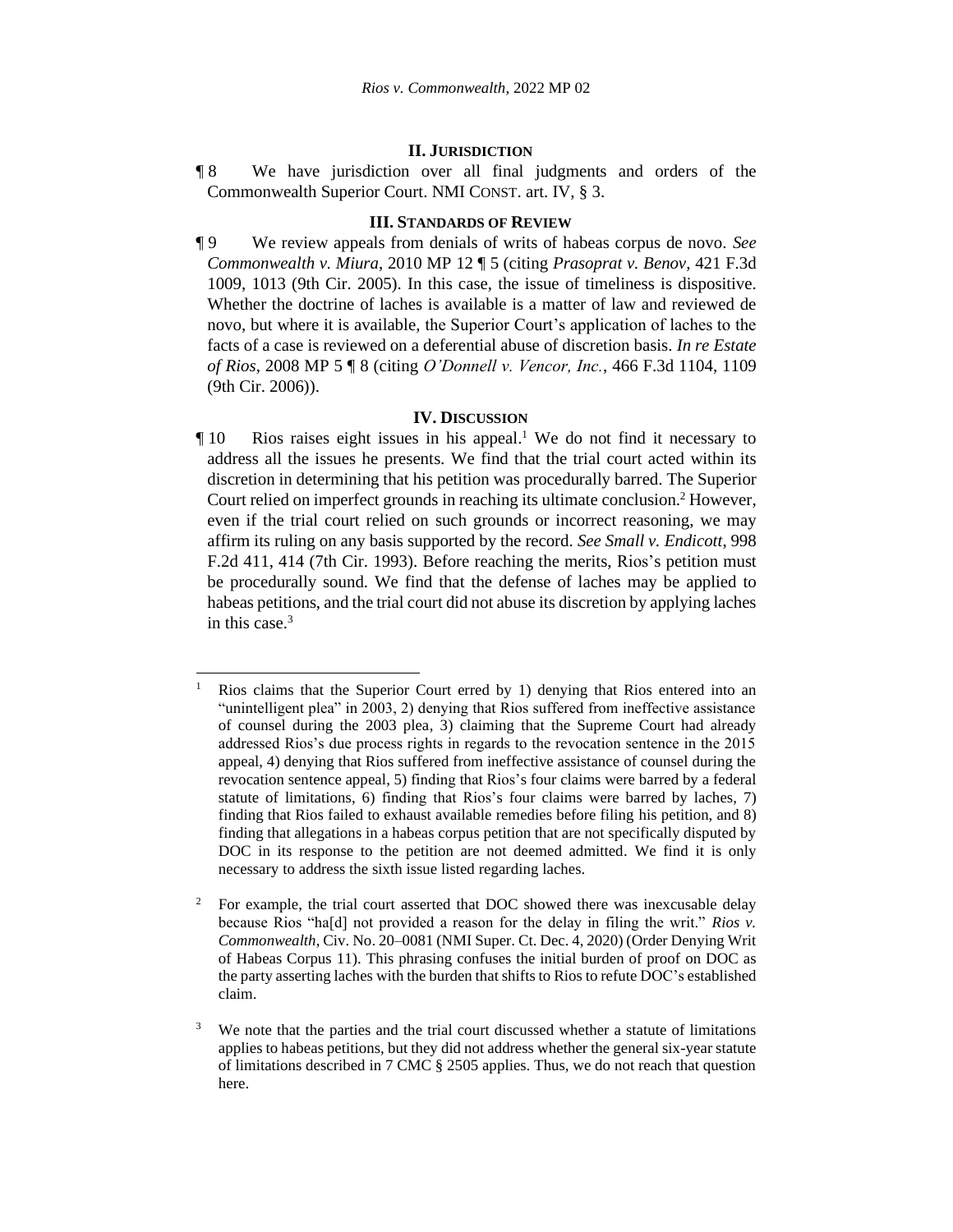#### **II. JURISDICTION**

¶ 8 We have jurisdiction over all final judgments and orders of the Commonwealth Superior Court. NMI CONST. art. IV, § 3.

#### **III. STANDARDS OF REVIEW**

¶ 9 We review appeals from denials of writs of habeas corpus de novo. *See Commonwealth v. Miura*, 2010 MP 12 ¶ 5 (citing *Prasoprat v. Benov*, 421 F.3d 1009, 1013 (9th Cir. 2005). In this case, the issue of timeliness is dispositive. Whether the doctrine of laches is available is a matter of law and reviewed de novo, but where it is available, the Superior Court's application of laches to the facts of a case is reviewed on a deferential abuse of discretion basis. *In re Estate of Rios*, 2008 MP 5 ¶ 8 (citing *O'Donnell v. Vencor, Inc.*, 466 F.3d 1104, 1109 (9th Cir. 2006)).

#### **IV. DISCUSSION**

¶ 10 Rios raises eight issues in his appeal. <sup>1</sup> We do not find it necessary to address all the issues he presents. We find that the trial court acted within its discretion in determining that his petition was procedurally barred. The Superior Court relied on imperfect grounds in reaching its ultimate conclusion. <sup>2</sup> However, even if the trial court relied on such grounds or incorrect reasoning, we may affirm its ruling on any basis supported by the record. *See Small v. Endicott*, 998 F.2d 411, 414 (7th Cir. 1993). Before reaching the merits, Rios's petition must be procedurally sound. We find that the defense of laches may be applied to habeas petitions, and the trial court did not abuse its discretion by applying laches in this case. $3$ 

Rios claims that the Superior Court erred by 1) denying that Rios entered into an "unintelligent plea" in 2003, 2) denying that Rios suffered from ineffective assistance of counsel during the 2003 plea, 3) claiming that the Supreme Court had already addressed Rios's due process rights in regards to the revocation sentence in the 2015 appeal, 4) denying that Rios suffered from ineffective assistance of counsel during the revocation sentence appeal, 5) finding that Rios's four claims were barred by a federal statute of limitations, 6) finding that Rios's four claims were barred by laches, 7) finding that Rios failed to exhaust available remedies before filing his petition, and 8) finding that allegations in a habeas corpus petition that are not specifically disputed by DOC in its response to the petition are not deemed admitted. We find it is only necessary to address the sixth issue listed regarding laches.

<sup>&</sup>lt;sup>2</sup> For example, the trial court asserted that DOC showed there was inexcusable delay because Rios "ha[d] not provided a reason for the delay in filing the writ." *Rios v. Commonwealth*, Civ. No. 20–0081 (NMI Super. Ct. Dec. 4, 2020) (Order Denying Writ of Habeas Corpus 11). This phrasing confuses the initial burden of proof on DOC as the party asserting laches with the burden that shifts to Rios to refute DOC's established claim.

 $3\text{ }\degree$  We note that the parties and the trial court discussed whether a statute of limitations applies to habeas petitions, but they did not address whether the general six-year statute of limitations described in 7 CMC § 2505 applies. Thus, we do not reach that question here.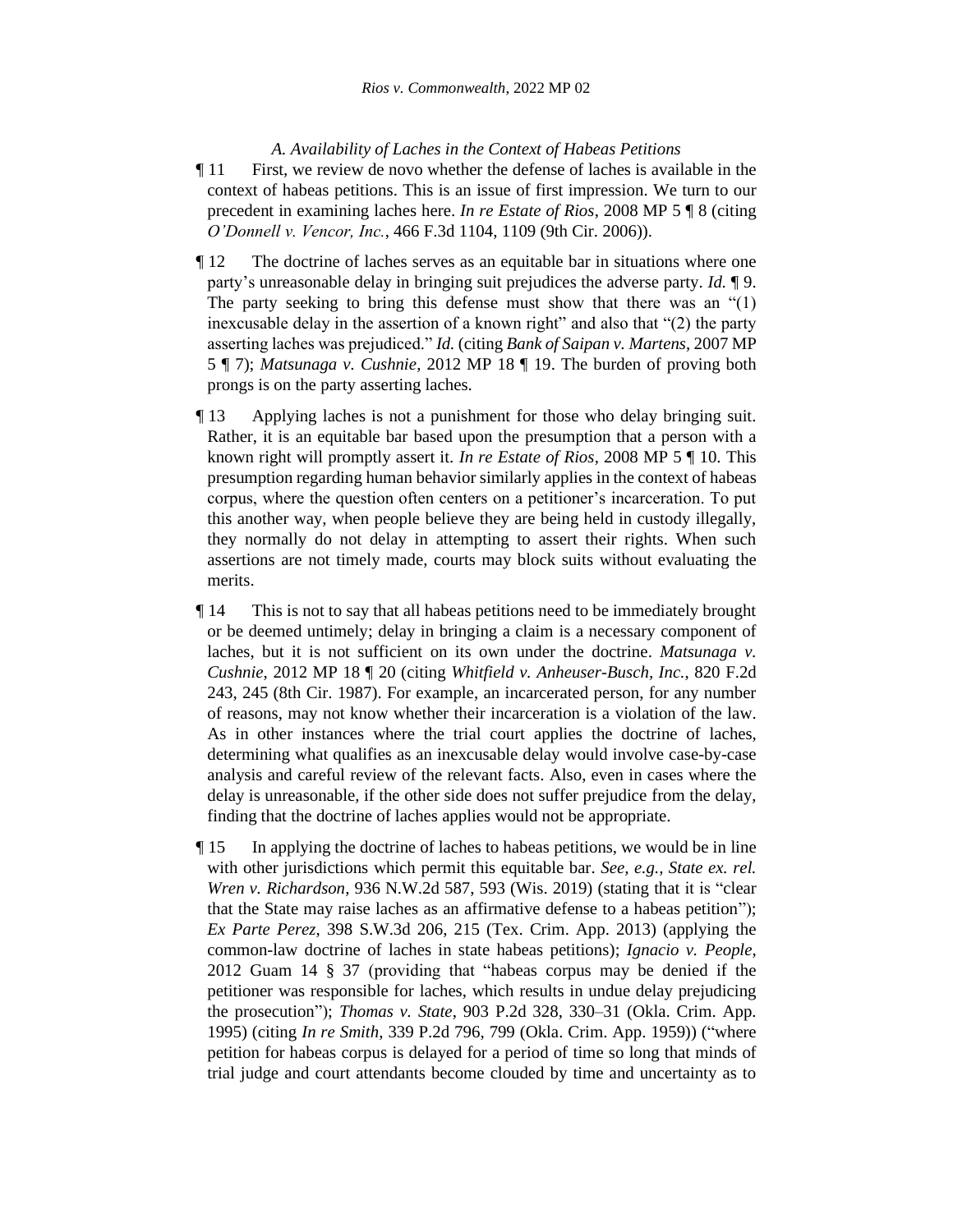#### *A. Availability of Laches in the Context of Habeas Petitions*

- ¶ 11 First, we review de novo whether the defense of laches is available in the context of habeas petitions. This is an issue of first impression. We turn to our precedent in examining laches here. *In re Estate of Rios*, 2008 MP 5 ¶ 8 (citing *O'Donnell v. Vencor, Inc.*, 466 F.3d 1104, 1109 (9th Cir. 2006)).
- ¶ 12 The doctrine of laches serves as an equitable bar in situations where one party's unreasonable delay in bringing suit prejudices the adverse party. *Id.* ¶ 9. The party seeking to bring this defense must show that there was an  $(1)$ inexcusable delay in the assertion of a known right" and also that "(2) the party asserting laches was prejudiced." *Id.* (citing *Bank of Saipan v. Martens*, 2007 MP 5 ¶ 7); *Matsunaga v. Cushnie*, 2012 MP 18 ¶ 19. The burden of proving both prongs is on the party asserting laches.
- ¶ 13 Applying laches is not a punishment for those who delay bringing suit. Rather, it is an equitable bar based upon the presumption that a person with a known right will promptly assert it. *In re Estate of Rios*, 2008 MP 5 ¶ 10. This presumption regarding human behavior similarly applies in the context of habeas corpus, where the question often centers on a petitioner's incarceration. To put this another way, when people believe they are being held in custody illegally, they normally do not delay in attempting to assert their rights. When such assertions are not timely made, courts may block suits without evaluating the merits.
- ¶ 14 This is not to say that all habeas petitions need to be immediately brought or be deemed untimely; delay in bringing a claim is a necessary component of laches, but it is not sufficient on its own under the doctrine. *Matsunaga v. Cushnie*, 2012 MP 18 ¶ 20 (citing *Whitfield v. Anheuser-Busch, Inc.*, 820 F.2d 243, 245 (8th Cir. 1987). For example, an incarcerated person, for any number of reasons, may not know whether their incarceration is a violation of the law. As in other instances where the trial court applies the doctrine of laches, determining what qualifies as an inexcusable delay would involve case-by-case analysis and careful review of the relevant facts. Also, even in cases where the delay is unreasonable, if the other side does not suffer prejudice from the delay, finding that the doctrine of laches applies would not be appropriate.
- ¶ 15 In applying the doctrine of laches to habeas petitions, we would be in line with other jurisdictions which permit this equitable bar. *See, e.g., State ex. rel. Wren v. Richardson*, 936 N.W.2d 587, 593 (Wis. 2019) (stating that it is "clear that the State may raise laches as an affirmative defense to a habeas petition"); *Ex Parte Perez*, 398 S.W.3d 206, 215 (Tex. Crim. App. 2013) (applying the common-law doctrine of laches in state habeas petitions); *Ignacio v. People*, 2012 Guam 14 § 37 (providing that "habeas corpus may be denied if the petitioner was responsible for laches, which results in undue delay prejudicing the prosecution"); *Thomas v. State*, 903 P.2d 328, 330–31 (Okla. Crim. App. 1995) (citing *In re Smith*, 339 P.2d 796, 799 (Okla. Crim. App. 1959)) ("where petition for habeas corpus is delayed for a period of time so long that minds of trial judge and court attendants become clouded by time and uncertainty as to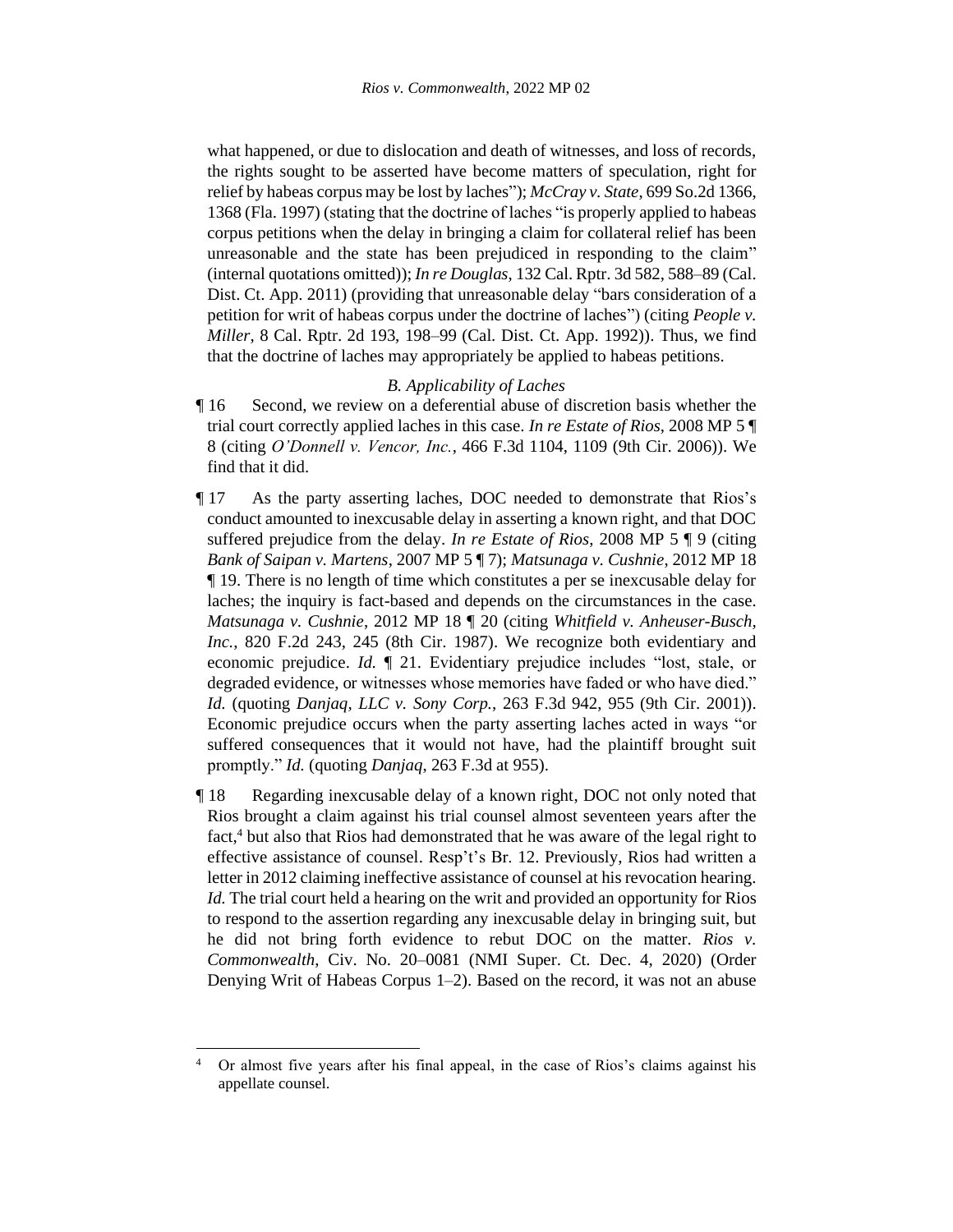what happened, or due to dislocation and death of witnesses, and loss of records, the rights sought to be asserted have become matters of speculation, right for relief by habeas corpus may be lost by laches"); *McCray v. State*, 699 So.2d 1366, 1368 (Fla. 1997) (stating that the doctrine of laches "is properly applied to habeas corpus petitions when the delay in bringing a claim for collateral relief has been unreasonable and the state has been prejudiced in responding to the claim" (internal quotations omitted)); *In re Douglas*, 132 Cal. Rptr. 3d 582, 588–89 (Cal. Dist. Ct. App. 2011) (providing that unreasonable delay "bars consideration of a petition for writ of habeas corpus under the doctrine of laches") (citing *People v. Miller*, 8 Cal. Rptr. 2d 193, 198–99 (Cal. Dist. Ct. App. 1992)). Thus, we find that the doctrine of laches may appropriately be applied to habeas petitions.

#### *B. Applicability of Laches*

- ¶ 16 Second, we review on a deferential abuse of discretion basis whether the trial court correctly applied laches in this case. *In re Estate of Rios*, 2008 MP 5 ¶ 8 (citing *O'Donnell v. Vencor, Inc.*, 466 F.3d 1104, 1109 (9th Cir. 2006)). We find that it did.
- ¶ 17 As the party asserting laches, DOC needed to demonstrate that Rios's conduct amounted to inexcusable delay in asserting a known right, and that DOC suffered prejudice from the delay. *In re Estate of Rios*, 2008 MP 5 ¶ 9 (citing *Bank of Saipan v. Martens*, 2007 MP 5 ¶ 7); *Matsunaga v. Cushnie*, 2012 MP 18 ¶ 19. There is no length of time which constitutes a per se inexcusable delay for laches; the inquiry is fact-based and depends on the circumstances in the case. *Matsunaga v. Cushnie*, 2012 MP 18 ¶ 20 (citing *Whitfield v. Anheuser-Busch, Inc.*, 820 F.2d 243, 245 (8th Cir. 1987). We recognize both evidentiary and economic prejudice. *Id.* ¶ 21. Evidentiary prejudice includes "lost, stale, or degraded evidence, or witnesses whose memories have faded or who have died." *Id.* (quoting *Danjaq, LLC v. Sony Corp.*, 263 F.3d 942, 955 (9th Cir. 2001)). Economic prejudice occurs when the party asserting laches acted in ways "or suffered consequences that it would not have, had the plaintiff brought suit promptly." *Id.* (quoting *Danjaq*, 263 F.3d at 955).
- ¶ 18 Regarding inexcusable delay of a known right, DOC not only noted that Rios brought a claim against his trial counsel almost seventeen years after the fact, <sup>4</sup> but also that Rios had demonstrated that he was aware of the legal right to effective assistance of counsel. Resp't's Br. 12. Previously, Rios had written a letter in 2012 claiming ineffective assistance of counsel at his revocation hearing. *Id.* The trial court held a hearing on the writ and provided an opportunity for Rios to respond to the assertion regarding any inexcusable delay in bringing suit, but he did not bring forth evidence to rebut DOC on the matter. *Rios v. Commonwealth*, Civ. No. 20–0081 (NMI Super. Ct. Dec. 4, 2020) (Order Denying Writ of Habeas Corpus 1–2). Based on the record, it was not an abuse

<sup>4</sup> Or almost five years after his final appeal, in the case of Rios's claims against his appellate counsel.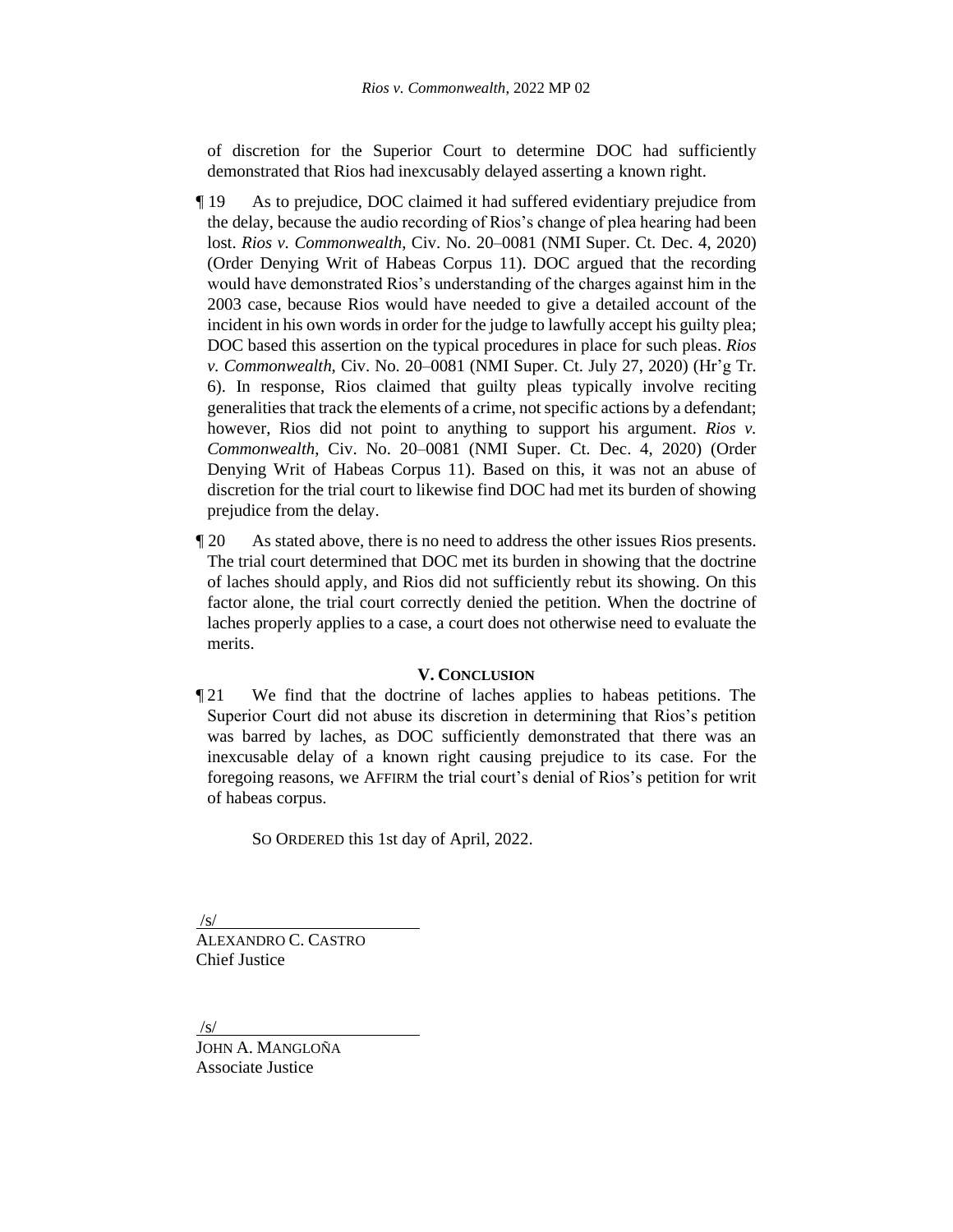of discretion for the Superior Court to determine DOC had sufficiently demonstrated that Rios had inexcusably delayed asserting a known right.

- ¶ 19 As to prejudice, DOC claimed it had suffered evidentiary prejudice from the delay, because the audio recording of Rios's change of plea hearing had been lost. *Rios v. Commonwealth*, Civ. No. 20–0081 (NMI Super. Ct. Dec. 4, 2020) (Order Denying Writ of Habeas Corpus 11). DOC argued that the recording would have demonstrated Rios's understanding of the charges against him in the 2003 case, because Rios would have needed to give a detailed account of the incident in his own words in order for the judge to lawfully accept his guilty plea; DOC based this assertion on the typical procedures in place for such pleas. *Rios v. Commonwealth*, Civ. No. 20–0081 (NMI Super. Ct. July 27, 2020) (Hr'g Tr. 6). In response, Rios claimed that guilty pleas typically involve reciting generalities that track the elements of a crime, not specific actions by a defendant; however, Rios did not point to anything to support his argument. *Rios v. Commonwealth*, Civ. No. 20–0081 (NMI Super. Ct. Dec. 4, 2020) (Order Denying Writ of Habeas Corpus 11). Based on this, it was not an abuse of discretion for the trial court to likewise find DOC had met its burden of showing prejudice from the delay.
- ¶ 20 As stated above, there is no need to address the other issues Rios presents. The trial court determined that DOC met its burden in showing that the doctrine of laches should apply, and Rios did not sufficiently rebut its showing. On this factor alone, the trial court correctly denied the petition. When the doctrine of laches properly applies to a case, a court does not otherwise need to evaluate the merits.

#### **V. CONCLUSION**

¶ 21 We find that the doctrine of laches applies to habeas petitions. The Superior Court did not abuse its discretion in determining that Rios's petition was barred by laches, as DOC sufficiently demonstrated that there was an inexcusable delay of a known right causing prejudice to its case. For the foregoing reasons, we AFFIRM the trial court's denial of Rios's petition for writ of habeas corpus.

SO ORDERED this 1st day of April, 2022.

/s/

ALEXANDRO C. CASTRO Chief Justice

/s/

JOHN A. MANGLOÑA Associate Justice